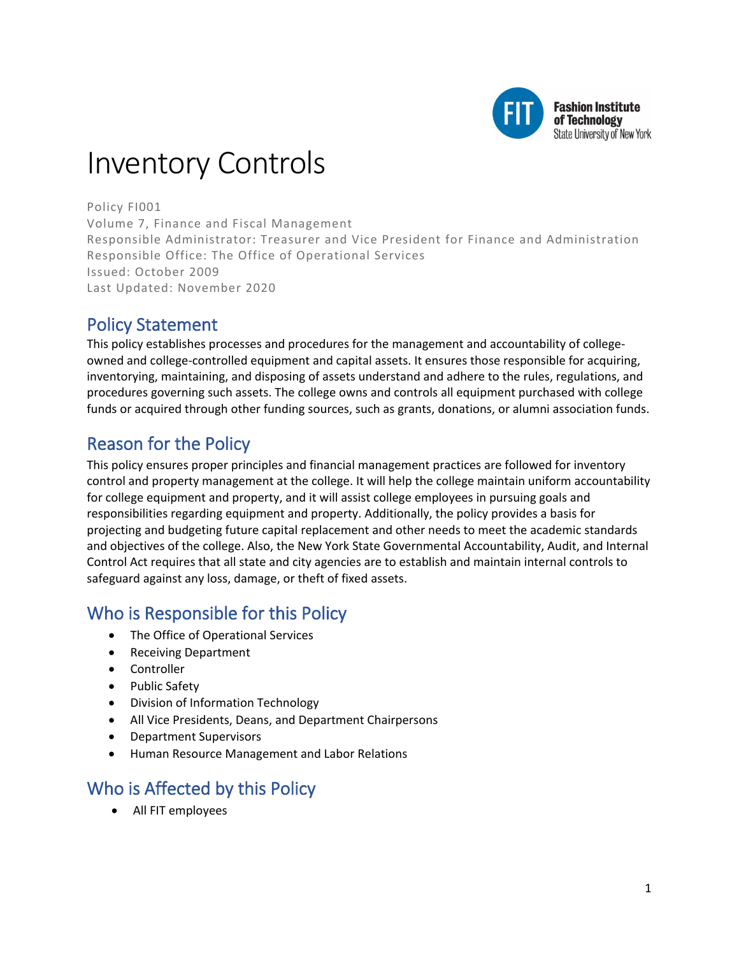

**Fashion Institute** of Technology State University of New York

# Inventory Controls

Policy FI001 Volume 7, Finance and Fiscal Management Responsible Administrator: Treasurer and Vice President for Finance and Administration Responsible Office: The Office of Operational Services Issued: October 2009 Last Updated: November 2020

# Policy Statement

This policy establishes processes and procedures for the management and accountability of collegeowned and college-controlled equipment and capital assets. It ensures those responsible for acquiring, inventorying, maintaining, and disposing of assets understand and adhere to the rules, regulations, and procedures governing such assets. The college owns and controls all equipment purchased with college funds or acquired through other funding sources, such as grants, donations, or alumni association funds.

# Reason for the Policy

This policy ensures proper principles and financial management practices are followed for inventory control and property management at the college. It will help the college maintain uniform accountability for college equipment and property, and it will assist college employees in pursuing goals and responsibilities regarding equipment and property. Additionally, the policy provides a basis for projecting and budgeting future capital replacement and other needs to meet the academic standards and objectives of the college. Also, the New York State Governmental Accountability, Audit, and Internal Control Act requires that all state and city agencies are to establish and maintain internal controls to safeguard against any loss, damage, or theft of fixed assets.

# Who is Responsible for this Policy

- The Office of Operational Services
- Receiving Department
- Controller
- Public Safety
- Division of Information Technology
- All Vice Presidents, Deans, and Department Chairpersons
- Department Supervisors
- Human Resource Management and Labor Relations

# Who is Affected by this Policy

• All FIT employees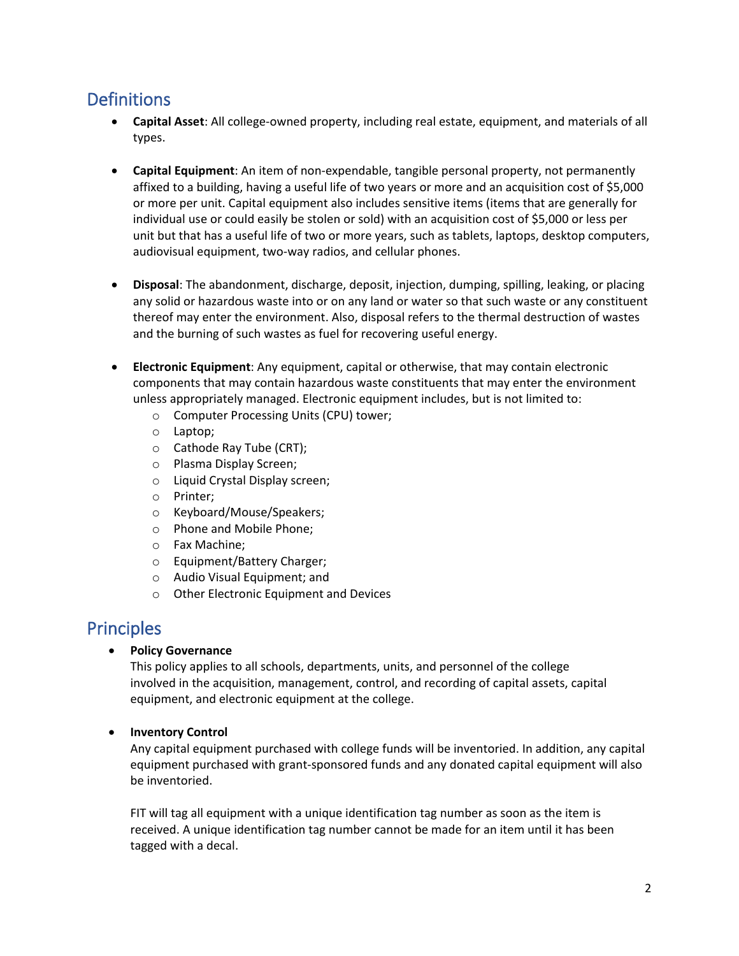# **Definitions**

- **Capital Asset**: All college-owned property, including real estate, equipment, and materials of all types.
- **Capital Equipment**: An item of non-expendable, tangible personal property, not permanently affixed to a building, having a useful life of two years or more and an acquisition cost of \$5,000 or more per unit. Capital equipment also includes sensitive items (items that are generally for individual use or could easily be stolen or sold) with an acquisition cost of \$5,000 or less per unit but that has a useful life of two or more years, such as tablets, laptops, desktop computers, audiovisual equipment, two-way radios, and cellular phones.
- **Disposal**: The abandonment, discharge, deposit, injection, dumping, spilling, leaking, or placing any solid or hazardous waste into or on any land or water so that such waste or any constituent thereof may enter the environment. Also, disposal refers to the thermal destruction of wastes and the burning of such wastes as fuel for recovering useful energy.
- **Electronic Equipment**: Any equipment, capital or otherwise, that may contain electronic components that may contain hazardous waste constituents that may enter the environment unless appropriately managed. Electronic equipment includes, but is not limited to:
	- o Computer Processing Units (CPU) tower;
	- o Laptop;
	- o Cathode Ray Tube (CRT);
	- o Plasma Display Screen;
	- o Liquid Crystal Display screen;
	- o Printer;
	- o Keyboard/Mouse/Speakers;
	- o Phone and Mobile Phone;
	- o Fax Machine;
	- o Equipment/Battery Charger;
	- o Audio Visual Equipment; and
	- o Other Electronic Equipment and Devices

# Principles

• **Policy Governance**

This policy applies to all schools, departments, units, and personnel of the college involved in the acquisition, management, control, and recording of capital assets, capital equipment, and electronic equipment at the college.

#### • **Inventory Control**

Any capital equipment purchased with college funds will be inventoried. In addition, any capital equipment purchased with grant-sponsored funds and any donated capital equipment will also be inventoried.

FIT will tag all equipment with a unique identification tag number as soon as the item is received. A unique identification tag number cannot be made for an item until it has been tagged with a decal.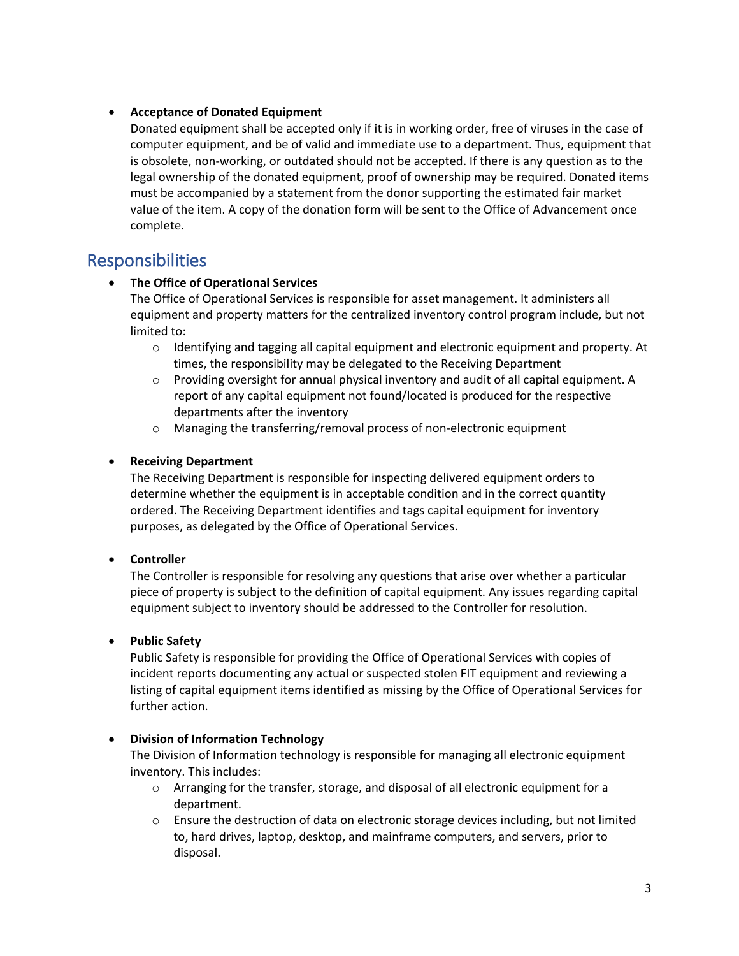#### • **Acceptance of Donated Equipment**

Donated equipment shall be accepted only if it is in working order, free of viruses in the case of computer equipment, and be of valid and immediate use to a department. Thus, equipment that is obsolete, non-working, or outdated should not be accepted. If there is any question as to the legal ownership of the donated equipment, proof of ownership may be required. Donated items must be accompanied by a statement from the donor supporting the estimated fair market value of the item. A copy of the donation form will be sent to the Office of Advancement once complete.

### Responsibilities

#### • **The Office of Operational Services**

The Office of Operational Services is responsible for asset management. It administers all equipment and property matters for the centralized inventory control program include, but not limited to:

- $\circ$  Identifying and tagging all capital equipment and electronic equipment and property. At times, the responsibility may be delegated to the Receiving Department
- o Providing oversight for annual physical inventory and audit of all capital equipment. A report of any capital equipment not found/located is produced for the respective departments after the inventory
- o Managing the transferring/removal process of non-electronic equipment

#### • **Receiving Department**

The Receiving Department is responsible for inspecting delivered equipment orders to determine whether the equipment is in acceptable condition and in the correct quantity ordered. The Receiving Department identifies and tags capital equipment for inventory purposes, as delegated by the Office of Operational Services.

#### • **Controller**

The Controller is responsible for resolving any questions that arise over whether a particular piece of property is subject to the definition of capital equipment. Any issues regarding capital equipment subject to inventory should be addressed to the Controller for resolution.

#### • **Public Safety**

Public Safety is responsible for providing the Office of Operational Services with copies of incident reports documenting any actual or suspected stolen FIT equipment and reviewing a listing of capital equipment items identified as missing by the Office of Operational Services for further action.

#### • **Division of Information Technology**

The Division of Information technology is responsible for managing all electronic equipment inventory. This includes:

- o Arranging for the transfer, storage, and disposal of all electronic equipment for a department.
- o Ensure the destruction of data on electronic storage devices including, but not limited to, hard drives, laptop, desktop, and mainframe computers, and servers, prior to disposal.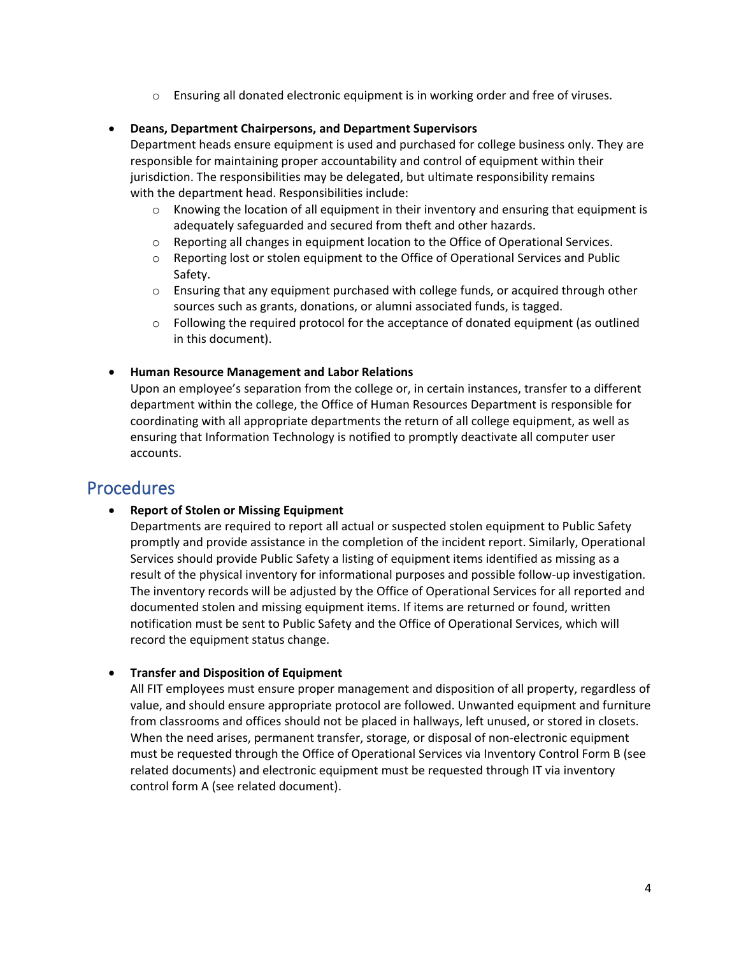o Ensuring all donated electronic equipment is in working order and free of viruses.

#### • **Deans, Department Chairpersons, and Department Supervisors**

Department heads ensure equipment is used and purchased for college business only. They are responsible for maintaining proper accountability and control of equipment within their jurisdiction. The responsibilities may be delegated, but ultimate responsibility remains with the department head. Responsibilities include:

- $\circ$  Knowing the location of all equipment in their inventory and ensuring that equipment is adequately safeguarded and secured from theft and other hazards.
- $\circ$  Reporting all changes in equipment location to the Office of Operational Services.
- o Reporting lost or stolen equipment to the Office of Operational Services and Public Safety.
- o Ensuring that any equipment purchased with college funds, or acquired through other sources such as grants, donations, or alumni associated funds, is tagged.
- $\circ$  Following the required protocol for the acceptance of donated equipment (as outlined in this document).

#### • **Human Resource Management and Labor Relations**

Upon an employee's separation from the college or, in certain instances, transfer to a different department within the college, the Office of Human Resources Department is responsible for coordinating with all appropriate departments the return of all college equipment, as well as ensuring that Information Technology is notified to promptly deactivate all computer user accounts.

### Procedures

#### • **Report of Stolen or Missing Equipment**

Departments are required to report all actual or suspected stolen equipment to Public Safety promptly and provide assistance in the completion of the incident report. Similarly, Operational Services should provide Public Safety a listing of equipment items identified as missing as a result of the physical inventory for informational purposes and possible follow-up investigation. The inventory records will be adjusted by the Office of Operational Services for all reported and documented stolen and missing equipment items. If items are returned or found, written notification must be sent to Public Safety and the Office of Operational Services, which will record the equipment status change.

#### • **Transfer and Disposition of Equipment**

All FIT employees must ensure proper management and disposition of all property, regardless of value, and should ensure appropriate protocol are followed. Unwanted equipment and furniture from classrooms and offices should not be placed in hallways, left unused, or stored in closets. When the need arises, permanent transfer, storage, or disposal of non-electronic equipment must be requested through the Office of Operational Services via Inventory Control Form B (see related documents) and electronic equipment must be requested through IT via inventory control form A (see related document).